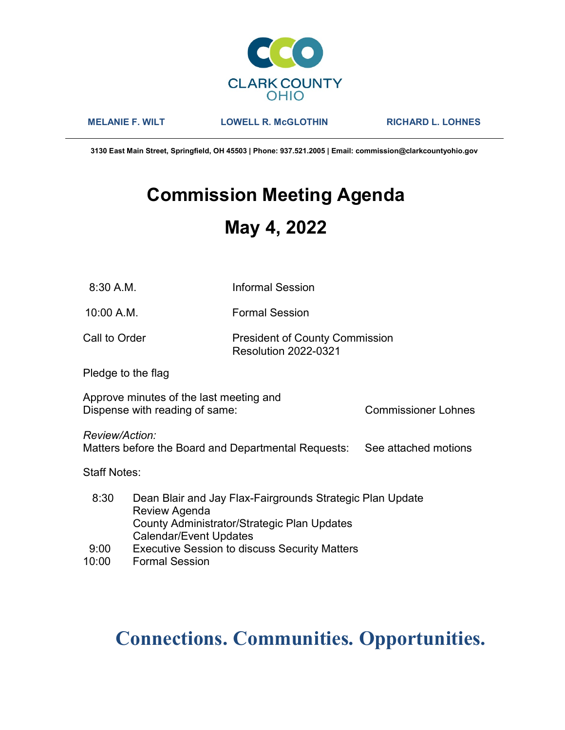

MELANIE F. WILT LOWELL R. McGLOTHIN RICHARD L. LOHNES

3130 East Main Street, Springfield, OH 45503 | Phone: 937.521.2005 | Email: commission@clarkcountyohio.gov

# Commission Meeting Agenda May 4, 2022

| 8:30 A.M.                                                                                                                                                          |                                                                           | <b>Informal Session</b>                                              |  |  |  |  |
|--------------------------------------------------------------------------------------------------------------------------------------------------------------------|---------------------------------------------------------------------------|----------------------------------------------------------------------|--|--|--|--|
| 10:00 A.M.                                                                                                                                                         |                                                                           | <b>Formal Session</b>                                                |  |  |  |  |
| Call to Order                                                                                                                                                      |                                                                           | <b>President of County Commission</b><br><b>Resolution 2022-0321</b> |  |  |  |  |
|                                                                                                                                                                    | Pledge to the flag                                                        |                                                                      |  |  |  |  |
|                                                                                                                                                                    | Approve minutes of the last meeting and<br>Dispense with reading of same: | Commissioner Lohnes                                                  |  |  |  |  |
| Review/Action:                                                                                                                                                     | Matters before the Board and Departmental Requests:                       | See attached motions                                                 |  |  |  |  |
| <b>Staff Notes:</b>                                                                                                                                                |                                                                           |                                                                      |  |  |  |  |
| 8:30<br>Dean Blair and Jay Flax-Fairgrounds Strategic Plan Update<br>Review Agenda<br>County Administrator/Strategic Plan Updates<br><b>Calendar/Event Updates</b> |                                                                           |                                                                      |  |  |  |  |
| 9:00                                                                                                                                                               |                                                                           | <b>Executive Session to discuss Security Matters</b>                 |  |  |  |  |
| 10:00                                                                                                                                                              | <b>Formal Session</b>                                                     |                                                                      |  |  |  |  |

## Connections. Communities. Opportunities.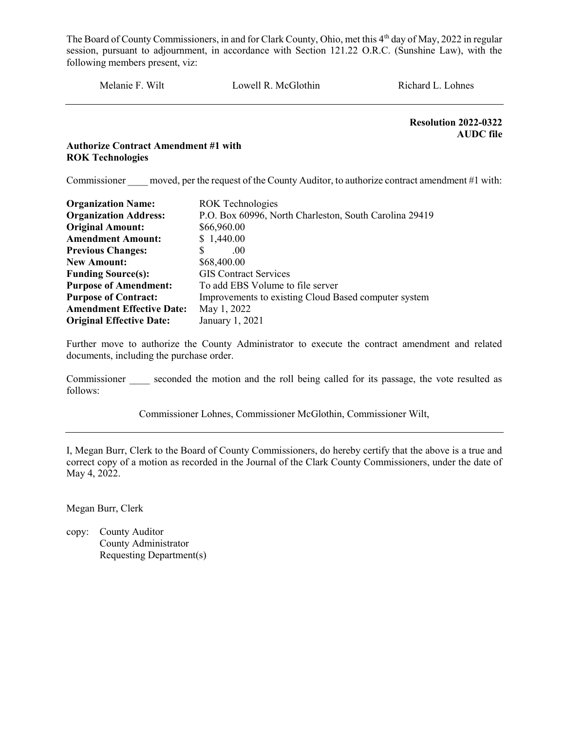Melanie F. Wilt Lowell R. McGlothin Richard L. Lohnes

 Resolution 2022-0322 AUDC file

#### Authorize Contract Amendment #1 with ROK Technologies

Commissioner moved, per the request of the County Auditor, to authorize contract amendment #1 with:

| <b>Organization Name:</b>        | <b>ROK</b> Technologies                                |
|----------------------------------|--------------------------------------------------------|
| <b>Organization Address:</b>     | P.O. Box 60996, North Charleston, South Carolina 29419 |
| <b>Original Amount:</b>          | \$66,960.00                                            |
| <b>Amendment Amount:</b>         | \$1,440.00                                             |
| <b>Previous Changes:</b>         | S<br>.00 <sub>1</sub>                                  |
| <b>New Amount:</b>               | \$68,400.00                                            |
| <b>Funding Source(s):</b>        | <b>GIS</b> Contract Services                           |
| <b>Purpose of Amendment:</b>     | To add EBS Volume to file server                       |
| <b>Purpose of Contract:</b>      | Improvements to existing Cloud Based computer system   |
| <b>Amendment Effective Date:</b> | May 1, 2022                                            |
| <b>Original Effective Date:</b>  | January 1, 2021                                        |

Further move to authorize the County Administrator to execute the contract amendment and related documents, including the purchase order.

Commissioner seconded the motion and the roll being called for its passage, the vote resulted as follows:

Commissioner Lohnes, Commissioner McGlothin, Commissioner Wilt,

I, Megan Burr, Clerk to the Board of County Commissioners, do hereby certify that the above is a true and correct copy of a motion as recorded in the Journal of the Clark County Commissioners, under the date of May 4, 2022.

Megan Burr, Clerk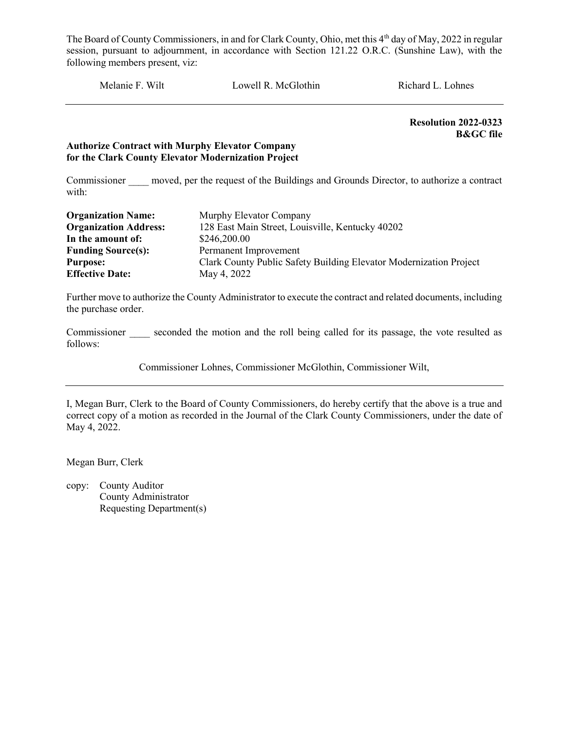Melanie F. Wilt Lowell R. McGlothin Richard L. Lohnes

Resolution 2022-0323 B&GC file

#### Authorize Contract with Murphy Elevator Company for the Clark County Elevator Modernization Project

Commissioner moved, per the request of the Buildings and Grounds Director, to authorize a contract with:

| <b>Organization Name:</b>    | Murphy Elevator Company                                            |
|------------------------------|--------------------------------------------------------------------|
| <b>Organization Address:</b> | 128 East Main Street, Louisville, Kentucky 40202                   |
| In the amount of:            | \$246,200.00                                                       |
| <b>Funding Source(s):</b>    | Permanent Improvement                                              |
| <b>Purpose:</b>              | Clark County Public Safety Building Elevator Modernization Project |
| <b>Effective Date:</b>       | May 4, 2022                                                        |

Further move to authorize the County Administrator to execute the contract and related documents, including the purchase order.

Commissioner seconded the motion and the roll being called for its passage, the vote resulted as follows:

Commissioner Lohnes, Commissioner McGlothin, Commissioner Wilt,

I, Megan Burr, Clerk to the Board of County Commissioners, do hereby certify that the above is a true and correct copy of a motion as recorded in the Journal of the Clark County Commissioners, under the date of May 4, 2022.

Megan Burr, Clerk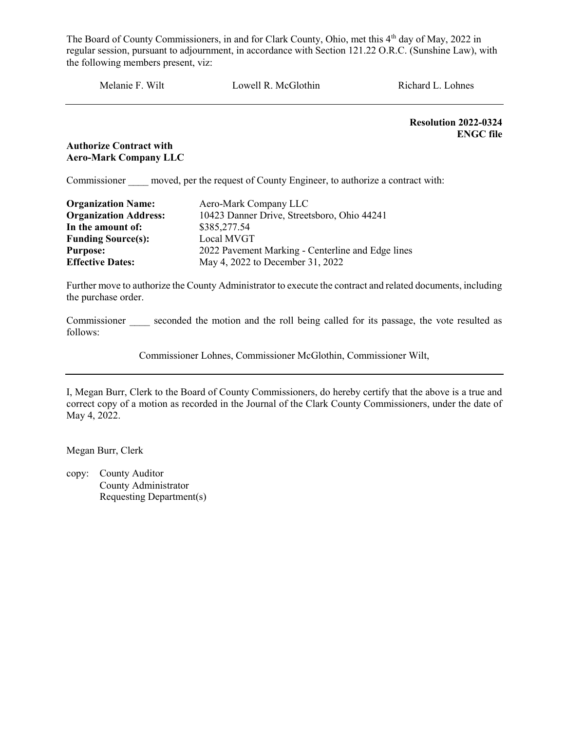Melanie F. Wilt Lowell R. McGlothin Richard L. Lohnes

Resolution 2022-0324 ENGC file

#### Authorize Contract with Aero-Mark Company LLC

Commissioner moved, per the request of County Engineer, to authorize a contract with:

| <b>Organization Name:</b>    | Aero-Mark Company LLC                             |
|------------------------------|---------------------------------------------------|
| <b>Organization Address:</b> | 10423 Danner Drive, Streetsboro, Ohio 44241       |
| In the amount of:            | \$385,277.54                                      |
| <b>Funding Source(s):</b>    | Local MVGT                                        |
| <b>Purpose:</b>              | 2022 Pavement Marking - Centerline and Edge lines |
| <b>Effective Dates:</b>      | May 4, 2022 to December 31, 2022                  |

Further move to authorize the County Administrator to execute the contract and related documents, including the purchase order.

Commissioner seconded the motion and the roll being called for its passage, the vote resulted as follows:

Commissioner Lohnes, Commissioner McGlothin, Commissioner Wilt,

I, Megan Burr, Clerk to the Board of County Commissioners, do hereby certify that the above is a true and correct copy of a motion as recorded in the Journal of the Clark County Commissioners, under the date of May 4, 2022.

Megan Burr, Clerk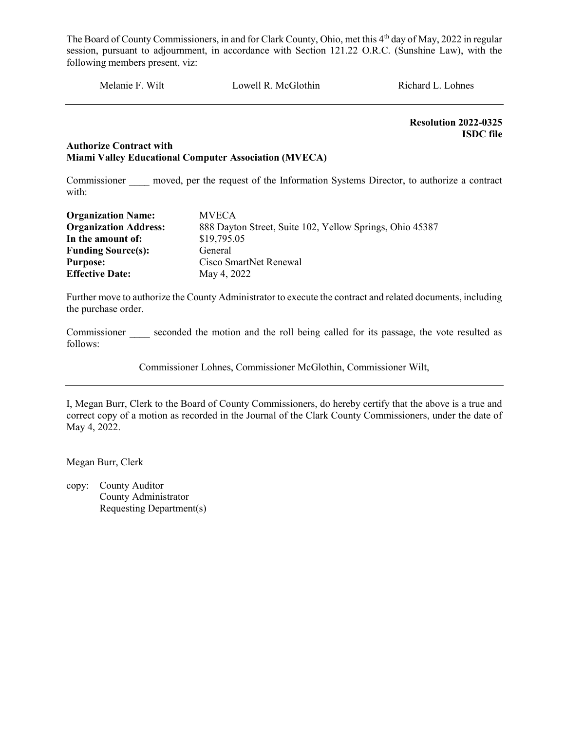Melanie F. Wilt Lowell R. McGlothin Richard L. Lohnes

Resolution 2022-0325 ISDC file

#### Authorize Contract with Miami Valley Educational Computer Association (MVECA)

Commissioner moved, per the request of the Information Systems Director, to authorize a contract with:

| <b>Organization Name:</b>    | <b>MVECA</b>                                             |
|------------------------------|----------------------------------------------------------|
| <b>Organization Address:</b> | 888 Dayton Street, Suite 102, Yellow Springs, Ohio 45387 |
| In the amount of:            | \$19,795.05                                              |
| <b>Funding Source(s):</b>    | General                                                  |
| <b>Purpose:</b>              | Cisco SmartNet Renewal                                   |
| <b>Effective Date:</b>       | May 4, 2022                                              |

Further move to authorize the County Administrator to execute the contract and related documents, including the purchase order.

Commissioner seconded the motion and the roll being called for its passage, the vote resulted as follows:

Commissioner Lohnes, Commissioner McGlothin, Commissioner Wilt,

I, Megan Burr, Clerk to the Board of County Commissioners, do hereby certify that the above is a true and correct copy of a motion as recorded in the Journal of the Clark County Commissioners, under the date of May 4, 2022.

Megan Burr, Clerk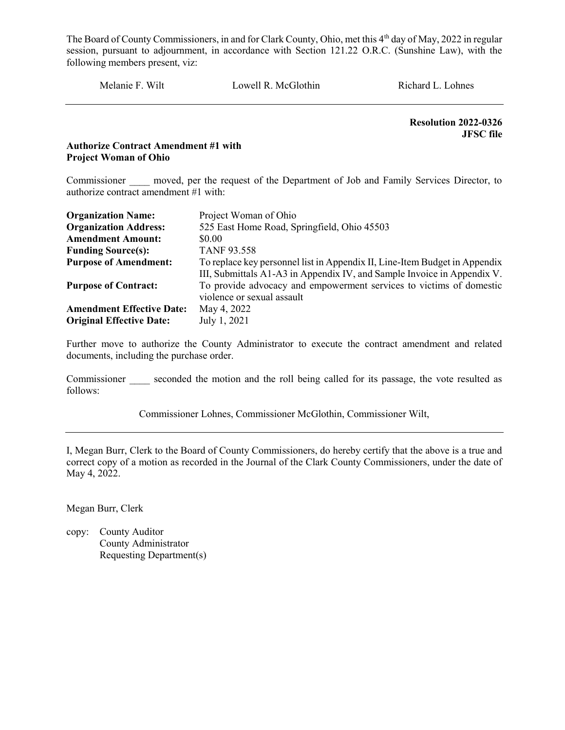Melanie F. Wilt Lowell R. McGlothin Richard L. Lohnes

 Resolution 2022-0326 JFSC file

#### Authorize Contract Amendment #1 with Project Woman of Ohio

Commissioner moved, per the request of the Department of Job and Family Services Director, to authorize contract amendment #1 with:

| <b>Organization Name:</b>        | Project Woman of Ohio                                                      |
|----------------------------------|----------------------------------------------------------------------------|
| <b>Organization Address:</b>     | 525 East Home Road, Springfield, Ohio 45503                                |
| <b>Amendment Amount:</b>         | \$0.00                                                                     |
| <b>Funding Source(s):</b>        | <b>TANF 93.558</b>                                                         |
| <b>Purpose of Amendment:</b>     | To replace key personnel list in Appendix II, Line-Item Budget in Appendix |
|                                  | III, Submittals A1-A3 in Appendix IV, and Sample Invoice in Appendix V.    |
| <b>Purpose of Contract:</b>      | To provide advocacy and empowerment services to victims of domestic        |
|                                  | violence or sexual assault                                                 |
| <b>Amendment Effective Date:</b> | May 4, 2022                                                                |
| <b>Original Effective Date:</b>  | July 1, 2021                                                               |

Further move to authorize the County Administrator to execute the contract amendment and related documents, including the purchase order.

Commissioner seconded the motion and the roll being called for its passage, the vote resulted as follows:

Commissioner Lohnes, Commissioner McGlothin, Commissioner Wilt,

I, Megan Burr, Clerk to the Board of County Commissioners, do hereby certify that the above is a true and correct copy of a motion as recorded in the Journal of the Clark County Commissioners, under the date of May 4, 2022.

Megan Burr, Clerk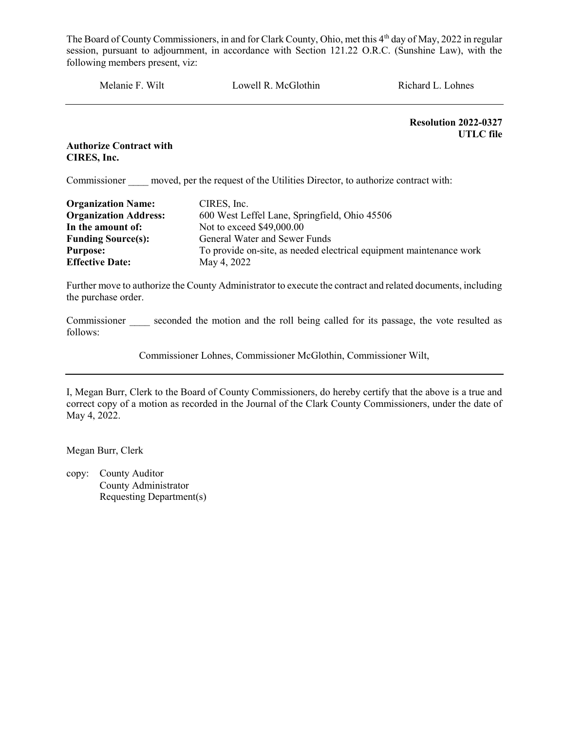Melanie F. Wilt Lowell R. McGlothin Richard L. Lohnes

 Resolution 2022-0327 UTLC file

Authorize Contract with CIRES, Inc.

Commissioner moved, per the request of the Utilities Director, to authorize contract with:

| <b>Organization Name:</b>    | CIRES, Inc.                                                         |
|------------------------------|---------------------------------------------------------------------|
| <b>Organization Address:</b> | 600 West Leffel Lane, Springfield, Ohio 45506                       |
| In the amount of:            | Not to exceed \$49,000.00                                           |
| <b>Funding Source(s):</b>    | General Water and Sewer Funds                                       |
| <b>Purpose:</b>              | To provide on-site, as needed electrical equipment maintenance work |
| <b>Effective Date:</b>       | May 4, 2022                                                         |

Further move to authorize the County Administrator to execute the contract and related documents, including the purchase order.

Commissioner seconded the motion and the roll being called for its passage, the vote resulted as follows:

Commissioner Lohnes, Commissioner McGlothin, Commissioner Wilt,

I, Megan Burr, Clerk to the Board of County Commissioners, do hereby certify that the above is a true and correct copy of a motion as recorded in the Journal of the Clark County Commissioners, under the date of May 4, 2022.

Megan Burr, Clerk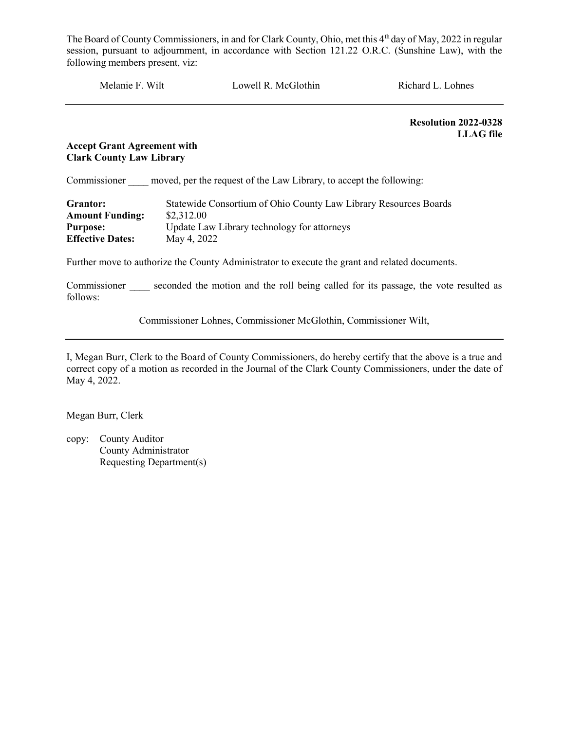| Melanie F. Wilt | Lowell R. McGlothin | Richard L. Lohnes |
|-----------------|---------------------|-------------------|
|                 |                     |                   |

 Resolution 2022-0328 LLAG file

#### Accept Grant Agreement with Clark County Law Library

Commissioner moved, per the request of the Law Library, to accept the following:

| Grantor:                | Statewide Consortium of Ohio County Law Library Resources Boards |
|-------------------------|------------------------------------------------------------------|
| <b>Amount Funding:</b>  | \$2,312.00                                                       |
| <b>Purpose:</b>         | Update Law Library technology for attorneys                      |
| <b>Effective Dates:</b> | May 4, 2022                                                      |

Further move to authorize the County Administrator to execute the grant and related documents.

Commissioner seconded the motion and the roll being called for its passage, the vote resulted as follows:

Commissioner Lohnes, Commissioner McGlothin, Commissioner Wilt,

I, Megan Burr, Clerk to the Board of County Commissioners, do hereby certify that the above is a true and correct copy of a motion as recorded in the Journal of the Clark County Commissioners, under the date of May 4, 2022.

Megan Burr, Clerk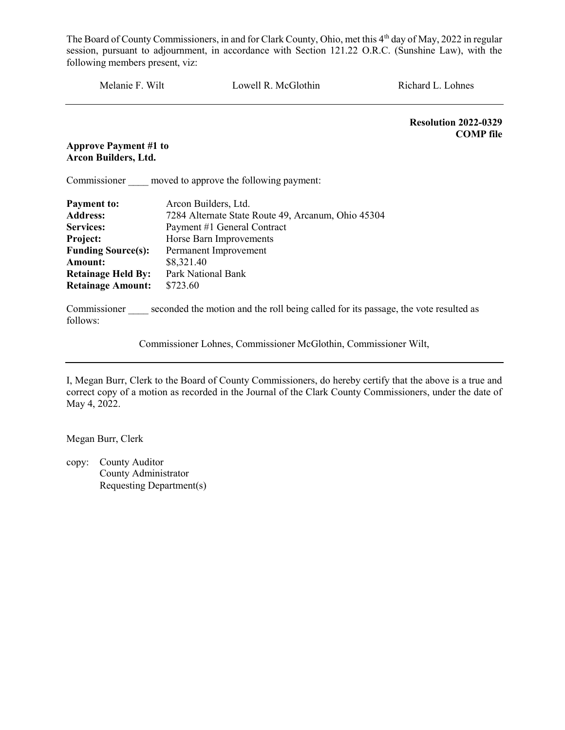Melanie F. Wilt Lowell R. McGlothin Richard L. Lohnes Resolution 2022-0329 COMP file Approve Payment #1 to Arcon Builders, Ltd. Commissioner moved to approve the following payment: Payment to: Arcon Builders, Ltd. Address: 7284 Alternate State Route 49, Arcanum, Ohio 45304 Services: Payment #1 General Contract Project: Horse Barn Improvements Funding Source(s): Permanent Improvement Amount: \$8,321.40 Retainage Held By: Park National Bank Retainage Amount: \$723.60 Commissioner seconded the motion and the roll being called for its passage, the vote resulted as

Commissioner Lohnes, Commissioner McGlothin, Commissioner Wilt,

I, Megan Burr, Clerk to the Board of County Commissioners, do hereby certify that the above is a true and correct copy of a motion as recorded in the Journal of the Clark County Commissioners, under the date of May 4, 2022.

Megan Burr, Clerk

follows: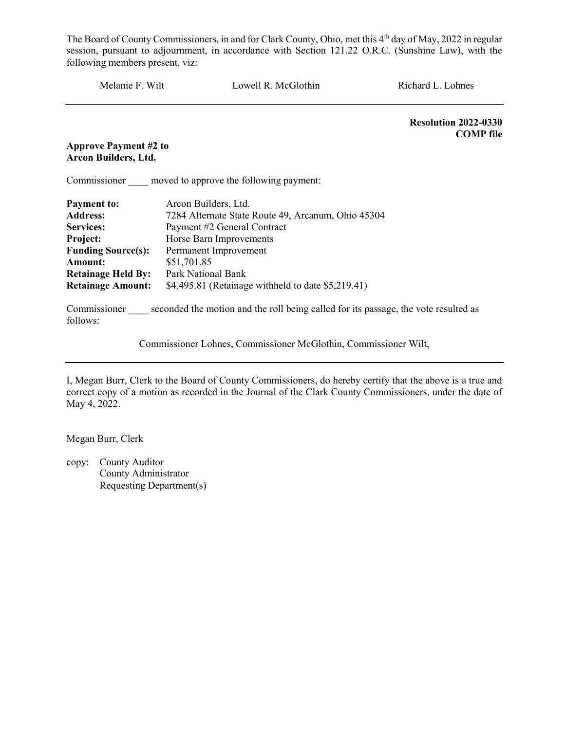| Melanie F. Wilt                                      | Lowell R. McGlothin                                                                              | Richard L. Lohnes                               |
|------------------------------------------------------|--------------------------------------------------------------------------------------------------|-------------------------------------------------|
|                                                      |                                                                                                  | <b>Resolution 2022-0330</b><br><b>COMP</b> file |
| <b>Approve Payment #2 to</b><br>Arcon Builders, Ltd. |                                                                                                  |                                                 |
|                                                      | Commissioner moved to approve the following payment:                                             |                                                 |
| <b>Payment to:</b>                                   | Arcon Builders, Ltd.                                                                             |                                                 |
| <b>Address:</b>                                      | 7284 Alternate State Route 49, Arcanum, Ohio 45304                                               |                                                 |
| <b>Services:</b>                                     | Payment #2 General Contract                                                                      |                                                 |
| Project:                                             | Horse Barn Improvements                                                                          |                                                 |
| <b>Funding Source(s):</b>                            | Permanent Improvement                                                                            |                                                 |
| <b>Amount:</b>                                       | \$51,701.85                                                                                      |                                                 |
| <b>Retainage Held By:</b>                            | Park National Bank                                                                               |                                                 |
| <b>Retainage Amount:</b>                             | \$4,495.81 (Retainage withheld to date \$5,219.41)                                               |                                                 |
| follows:                                             | Commissioner seconded the motion and the roll being called for its passage, the vote resulted as |                                                 |
|                                                      | Commissioner Lohnes, Commissioner McGlothin, Commissioner Wilt,                                  |                                                 |

I, Megan Burr, Clerk to the Board of County Commissioners, do hereby certify that the above is a true and correct copy of a motion as recorded in the Journal of the Clark County Commissioners, under the date of May 4, 2022.

Megan Burr, Clerk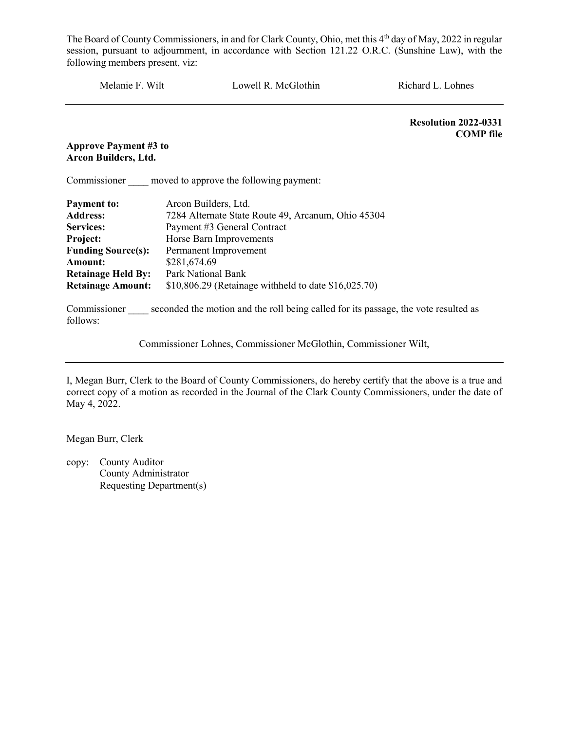| Melanie F. Wilt                                      | Lowell R. McGlothin                                                                              | Richard L. Lohnes                               |  |
|------------------------------------------------------|--------------------------------------------------------------------------------------------------|-------------------------------------------------|--|
|                                                      |                                                                                                  | <b>Resolution 2022-0331</b><br><b>COMP</b> file |  |
| <b>Approve Payment #3 to</b><br>Arcon Builders, Ltd. |                                                                                                  |                                                 |  |
|                                                      | Commissioner moved to approve the following payment:                                             |                                                 |  |
| <b>Payment to:</b>                                   | Arcon Builders, Ltd.                                                                             |                                                 |  |
| <b>Address:</b>                                      | 7284 Alternate State Route 49, Arcanum, Ohio 45304                                               |                                                 |  |
| <b>Services:</b>                                     | Payment #3 General Contract                                                                      |                                                 |  |
| Project:                                             | Horse Barn Improvements                                                                          |                                                 |  |
| <b>Funding Source(s):</b>                            | Permanent Improvement                                                                            |                                                 |  |
| <b>Amount:</b>                                       | \$281,674.69                                                                                     |                                                 |  |
| <b>Retainage Held By:</b>                            | Park National Bank                                                                               |                                                 |  |
| <b>Retainage Amount:</b>                             | \$10,806.29 (Retainage withheld to date $$16,025.70$ )                                           |                                                 |  |
| follows:                                             | Commissioner seconded the motion and the roll being called for its passage, the vote resulted as |                                                 |  |
|                                                      | Commissioner Lohnes, Commissioner McGlothin, Commissioner Wilt,                                  |                                                 |  |

I, Megan Burr, Clerk to the Board of County Commissioners, do hereby certify that the above is a true and correct copy of a motion as recorded in the Journal of the Clark County Commissioners, under the date of May 4, 2022.

Megan Burr, Clerk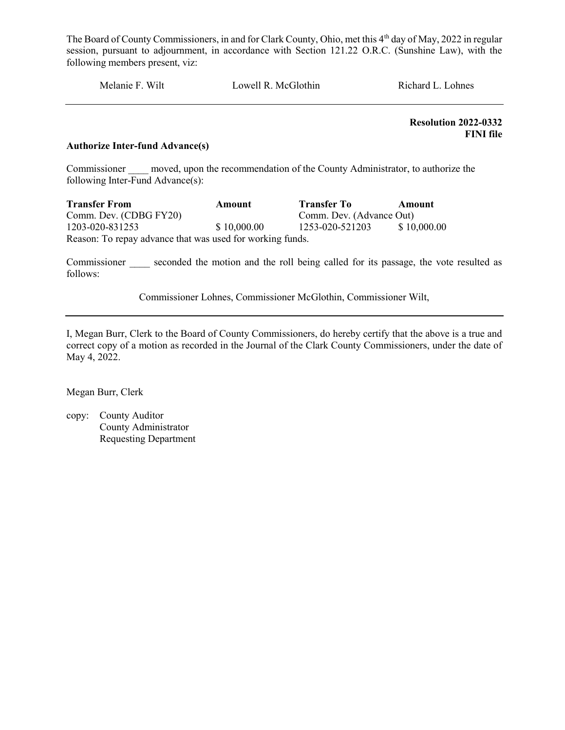Melanie F. Wilt Lowell R. McGlothin Richard L. Lohnes

 Resolution 2022-0332 FINI file

#### Authorize Inter-fund Advance(s)

Commissioner moved, upon the recommendation of the County Administrator, to authorize the following Inter-Fund Advance(s):

Transfer From Amount Transfer To Amount Comm. Dev. (CDBG FY20)<br>1203-020-831253 \$ 10,000.00 1253-020-521203 \$ 10. 1203-020-831253 \$ 10,000.00 1253-020-521203 \$ 10,000.00 Reason: To repay advance that was used for working funds.

Commissioner seconded the motion and the roll being called for its passage, the vote resulted as follows:

Commissioner Lohnes, Commissioner McGlothin, Commissioner Wilt,

I, Megan Burr, Clerk to the Board of County Commissioners, do hereby certify that the above is a true and correct copy of a motion as recorded in the Journal of the Clark County Commissioners, under the date of May 4, 2022.

Megan Burr, Clerk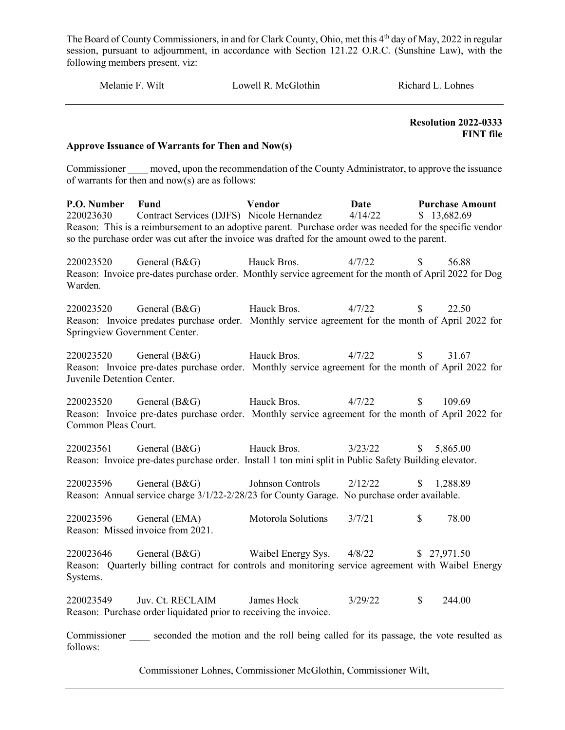| Melanie F. Wilt | Lowell R. McGlothin | Richard L. Lohnes |
|-----------------|---------------------|-------------------|
|                 |                     |                   |

 Resolution 2022-0333 FINT file

#### Approve Issuance of Warrants for Then and Now(s)

Commissioner moved, upon the recommendation of the County Administrator, to approve the issuance of warrants for then and now(s) are as follows:

P.O. Number Fund Vendor Date Purchase Amount 220023630 Contract Services (DJFS) Nicole Hernandez  $4/14/22$  \$ 13,682.69 Reason: This is a reimbursement to an adoptive parent. Purchase order was needed for the specific vendor so the purchase order was cut after the invoice was drafted for the amount owed to the parent. 220023520 General (B&G) Hauck Bros. 4/7/22 \$ 56.88 Reason: Invoice pre-dates purchase order. Monthly service agreement for the month of April 2022 for Dog Warden. 220023520 General (B&G) Hauck Bros. 4/7/22 \$ 22.50

Reason: Invoice predates purchase order. Monthly service agreement for the month of April 2022 for Springview Government Center.

220023520 General (B&G) Hauck Bros. 4/7/22 \$ 31.67 Reason: Invoice pre-dates purchase order. Monthly service agreement for the month of April 2022 for Juvenile Detention Center.

220023520 General (B&G) Hauck Bros. 4/7/22 \$ 109.69 Reason: Invoice pre-dates purchase order. Monthly service agreement for the month of April 2022 for Common Pleas Court.

220023561 General (B&G) Hauck Bros. 3/23/22 \$ 5,865.00 Reason: Invoice pre-dates purchase order. Install 1 ton mini split in Public Safety Building elevator.

220023596 General (B&G) Johnson Controls 2/12/22 \$ 1,288.89 Reason: Annual service charge 3/1/22-2/28/23 for County Garage. No purchase order available.

220023596 General (EMA) Motorola Solutions 3/7/21 \$ 78.00 Reason: Missed invoice from 2021.

220023646 General (B&G) Waibel Energy Sys. 4/8/22 \$ 27,971.50 Reason: Quarterly billing contract for controls and monitoring service agreement with Waibel Energy Systems.

220023549 Juv. Ct. RECLAIM James Hock 3/29/22 \$ 244.00 Reason: Purchase order liquidated prior to receiving the invoice.

Commissioner seconded the motion and the roll being called for its passage, the vote resulted as follows:

Commissioner Lohnes, Commissioner McGlothin, Commissioner Wilt,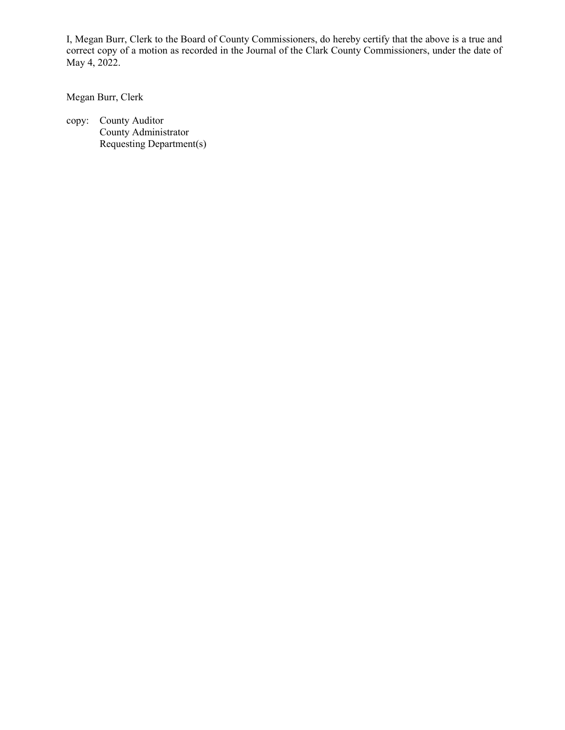I, Megan Burr, Clerk to the Board of County Commissioners, do hereby certify that the above is a true and correct copy of a motion as recorded in the Journal of the Clark County Commissioners, under the date of May 4, 2022.

Megan Burr, Clerk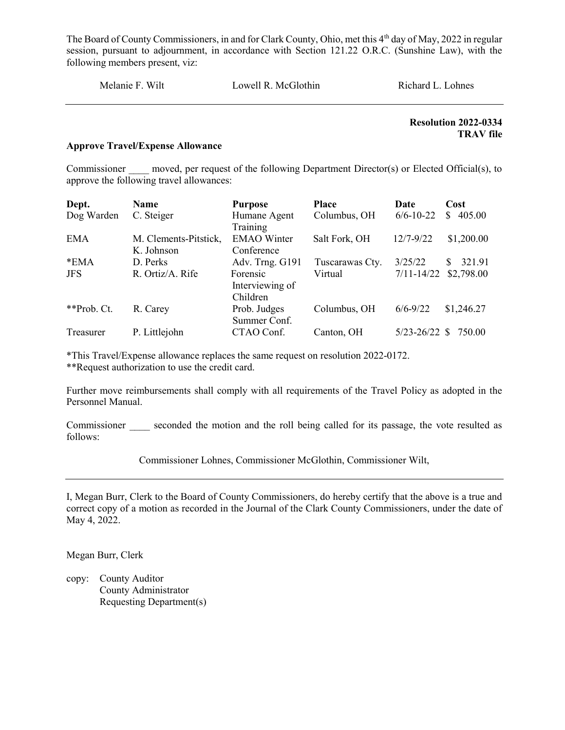Melanie F. Wilt Lowell R. McGlothin Richard L. Lohnes

 Resolution 2022-0334 TRAV file

#### Approve Travel/Expense Allowance

Commissioner moved, per request of the following Department Director(s) or Elected Official(s), to approve the following travel allowances:

| Dept.       | Name                  | <b>Purpose</b>                          | <b>Place</b>    | Date              | Cost          |
|-------------|-----------------------|-----------------------------------------|-----------------|-------------------|---------------|
| Dog Warden  | C. Steiger            | Humane Agent<br>Training                | Columbus, OH    | $6/6 - 10 - 22$   | 405.00<br>\$. |
| <b>EMA</b>  | M. Clements-Pitstick, | <b>EMAO</b> Winter                      | Salt Fork, OH   | $12/7 - 9/22$     | \$1,200.00    |
|             | K. Johnson            | Conference                              |                 |                   |               |
| $*EMA$      | D. Perks              | Adv. Trng. G191                         | Tuscarawas Cty. | 3/25/22           | 321.91<br>S.  |
| <b>JFS</b>  | R. Ortiz/A. Rife      | Forensic<br>Interviewing of<br>Children | Virtual         | $7/11 - 14/22$    | \$2,798.00    |
| **Prob. Ct. | R. Carey              | Prob. Judges<br>Summer Conf.            | Columbus, OH    | $6/6 - 9/22$      | \$1,246.27    |
| Treasurer   | P. Littlejohn         | CTAO Conf.                              | Canton, OH      | $5/23 - 26/22$ \$ | 750.00        |

\*This Travel/Expense allowance replaces the same request on resolution 2022-0172. \*\*Request authorization to use the credit card.

Further move reimbursements shall comply with all requirements of the Travel Policy as adopted in the Personnel Manual.

Commissioner seconded the motion and the roll being called for its passage, the vote resulted as follows:

Commissioner Lohnes, Commissioner McGlothin, Commissioner Wilt,

I, Megan Burr, Clerk to the Board of County Commissioners, do hereby certify that the above is a true and correct copy of a motion as recorded in the Journal of the Clark County Commissioners, under the date of May 4, 2022.

Megan Burr, Clerk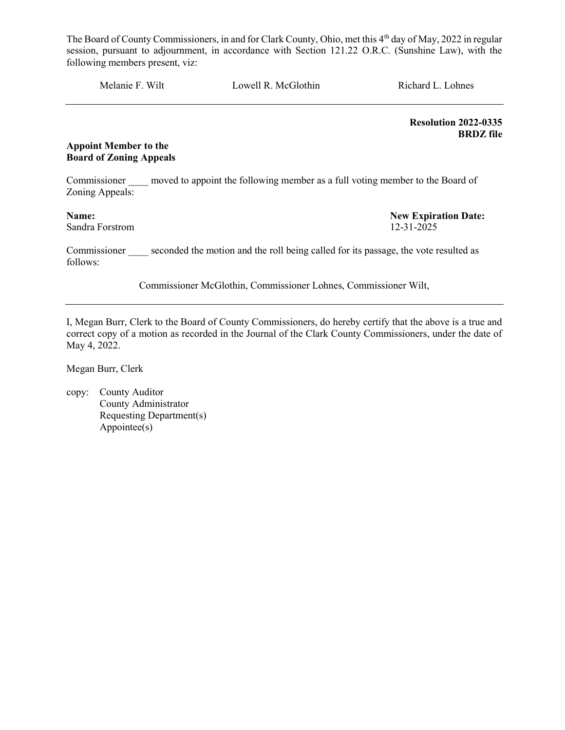Melanie F. Wilt Lowell R. McGlothin Richard L. Lohnes

 Resolution 2022-0335 BRDZ file

#### Appoint Member to the Board of Zoning Appeals

Commissioner moved to appoint the following member as a full voting member to the Board of Zoning Appeals:

### Sandra Forstrom 12-31-2025

Name: New Expiration Date:

Commissioner seconded the motion and the roll being called for its passage, the vote resulted as follows:

Commissioner McGlothin, Commissioner Lohnes, Commissioner Wilt,

I, Megan Burr, Clerk to the Board of County Commissioners, do hereby certify that the above is a true and correct copy of a motion as recorded in the Journal of the Clark County Commissioners, under the date of May 4, 2022.

Megan Burr, Clerk